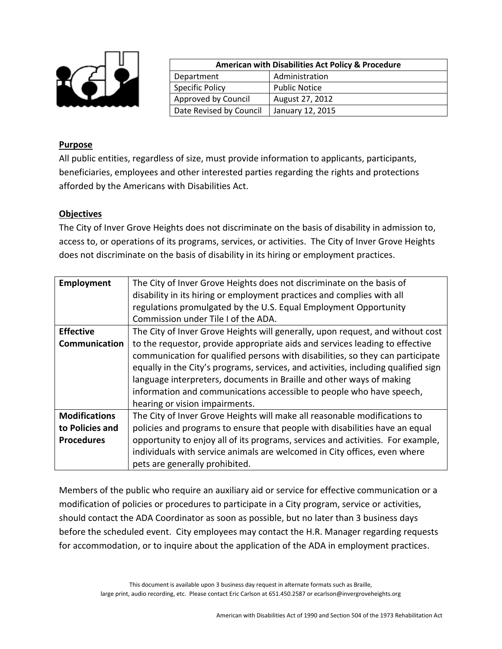

| <b>American with Disabilities Act Policy &amp; Procedure</b> |                      |  |
|--------------------------------------------------------------|----------------------|--|
| Department                                                   | Administration       |  |
| <b>Specific Policy</b>                                       | <b>Public Notice</b> |  |
| Approved by Council                                          | August 27, 2012      |  |
| Date Revised by Council                                      | January 12, 2015     |  |

## **Purpose**

All public entities, regardless of size, must provide information to applicants, participants, beneficiaries, employees and other interested parties regarding the rights and protections afforded by the Americans with Disabilities Act.

## **Objectives**

The City of Inver Grove Heights does not discriminate on the basis of disability in admission to, access to, or operations of its programs, services, or activities. The City of Inver Grove Heights does not discriminate on the basis of disability in its hiring or employment practices.

| Employment           | The City of Inver Grove Heights does not discriminate on the basis of              |
|----------------------|------------------------------------------------------------------------------------|
|                      | disability in its hiring or employment practices and complies with all             |
|                      | regulations promulgated by the U.S. Equal Employment Opportunity                   |
|                      | Commission under Tile I of the ADA.                                                |
| <b>Effective</b>     | The City of Inver Grove Heights will generally, upon request, and without cost     |
| Communication        | to the requestor, provide appropriate aids and services leading to effective       |
|                      | communication for qualified persons with disabilities, so they can participate     |
|                      | equally in the City's programs, services, and activities, including qualified sign |
|                      | language interpreters, documents in Braille and other ways of making               |
|                      | information and communications accessible to people who have speech,               |
|                      | hearing or vision impairments.                                                     |
| <b>Modifications</b> | The City of Inver Grove Heights will make all reasonable modifications to          |
| to Policies and      | policies and programs to ensure that people with disabilities have an equal        |
| <b>Procedures</b>    | opportunity to enjoy all of its programs, services and activities. For example,    |
|                      | individuals with service animals are welcomed in City offices, even where          |
|                      | pets are generally prohibited.                                                     |

Members of the public who require an auxiliary aid or service for effective communication or a modification of policies or procedures to participate in a City program, service or activities, should contact the ADA Coordinator as soon as possible, but no later than 3 business days before the scheduled event. City employees may contact the H.R. Manager regarding requests for accommodation, or to inquire about the application of the ADA in employment practices.

> This document is available upon 3 business day request in alternate formats such as Braille, large print, audio recording, etc. Please contact Eric Carlson at 651.450.2587 or ecarlson@invergroveheights.org